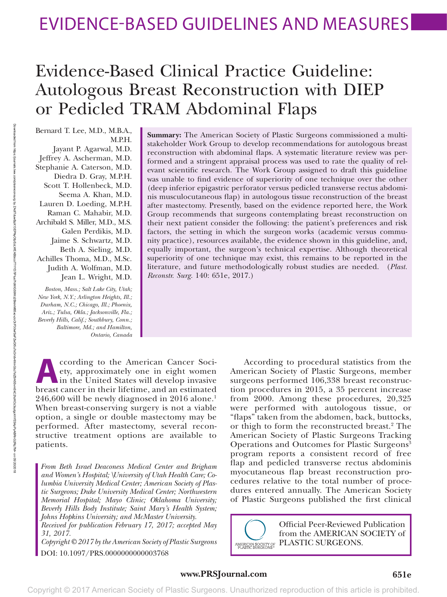# EVIDENCE-BASED GUIDELINES AND MEASURES

# Evidence-Based Clinical Practice Guideline: Autologous Breast Reconstruction with DIEP or Pedicled TRAM Abdominal Flaps

Bernard T. Lee, M.D., M.B.A., M.P.H. Jayant P. Agarwal, M.D. Jeffrey A. Ascherman, M.D. Stephanie A. Caterson, M.D. Diedra D. Gray, M.P.H. Scott T. Hollenbeck, M.D. Seema A. Khan, M.D. Lauren D. Loeding, M.P.H. Raman C. Mahabir, M.D. Archibald S. Miller, M.D., M.S. Galen Perdikis, M.D. Jaime S. Schwartz, M.D. Beth A. Sieling, M.D. Achilles Thoma, M.D., M.Sc. Judith A. Wolfman, M.D. Jean L. Wright, M.D.

*Boston, Mass.; Salt Lake City, Utah; New York, N.Y.; Arlington Heights, Ill.; Durham, N.C.; Chicago, Ill.; Phoenix, Ariz.; Tulsa, Okla.; Jacksonville, Fla.; Beverly Hills, Calif.; Southbury, Conn.; Baltimore, Md.; and Hamilton, Ontario, Canada* **Summary:** The American Society of Plastic Surgeons commissioned a multistakeholder Work Group to develop recommendations for autologous breast reconstruction with abdominal flaps. A systematic literature review was performed and a stringent appraisal process was used to rate the quality of relevant scientific research. The Work Group assigned to draft this guideline was unable to find evidence of superiority of one technique over the other (deep inferior epigastric perforator versus pedicled transverse rectus abdominis musculocutaneous flap) in autologous tissue reconstruction of the breast after mastectomy. Presently, based on the evidence reported here, the Work Group recommends that surgeons contemplating breast reconstruction on their next patient consider the following: the patient's preferences and risk factors, the setting in which the surgeon works (academic versus community practice), resources available, the evidence shown in this guideline, and, equally important, the surgeon's technical expertise. Although theoretical superiority of one technique may exist, this remains to be reported in the literature, and future methodologically robust studies are needed. (*Plast. Reconstr. Surg.* 140: 651e, 2017.)

**According to the American Cancer Society, approximately one in eight women<br>in the United States will develop invasive<br>breast cancer in their lifetime, and an estimated** ety, approximately one in eight women in the United States will develop invasive breast cancer in their lifetime, and an estimated  $246,600$  will be newly diagnosed in 2016 alone.<sup>1</sup> When breast-conserving surgery is not a viable option, a single or double mastectomy may be performed. After mastectomy, several reconstructive treatment options are available to patients.

*From Beth Israel Deaconess Medical Center and Brigham and Women's Hospital; \University of Utah Health Care; Columbia University Medical Center; American Society of Plastic Surgeons; Duke University Medical Center; Northwestern Memorial Hospital; Mayo Clinic; Oklahoma University; Beverly Hills Body Institute; Saint Mary's Health System; Johns Hopkins University; and McMaster University.*

*Received for publication February 17, 2017; accepted May 31, 2017.*

*Copyright © 2017 by the American Society of Plastic Surgeons* DOI: 10.1097/PRS.0000000000003768

According to procedural statistics from the American Society of Plastic Surgeons, member surgeons performed 106,338 breast reconstruction procedures in 2015, a 35 percent increase from 2000. Among these procedures, 20,325 were performed with autologous tissue, or "flaps" taken from the abdomen, back, buttocks, or thigh to form the reconstructed breast.<sup>2</sup> The American Society of Plastic Surgeons Tracking Operations and Outcomes for Plastic Surgeons<sup>3</sup> program reports a consistent record of free flap and pedicled transverse rectus abdominis myocutaneous flap breast reconstruction procedures relative to the total number of procedures entered annually. The American Society of Plastic Surgeons published the first clinical

Official Peer-Reviewed Publication from the AMERICAN SOCIETY of AMERICAN SOCIETY OF PLASTIC SURGEONS.

**www.PRSJournal.com 651e**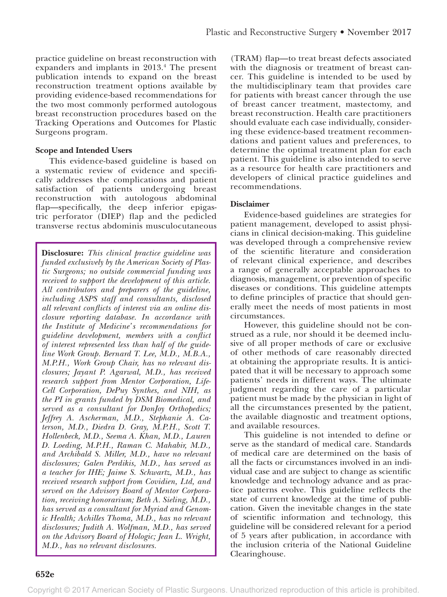practice guideline on breast reconstruction with expanders and implants in 2013.<sup>4</sup> The present publication intends to expand on the breast reconstruction treatment options available by providing evidence-based recommendations for the two most commonly performed autologous breast reconstruction procedures based on the Tracking Operations and Outcomes for Plastic Surgeons program.

# **Scope and Intended Users**

This evidence-based guideline is based on a systematic review of evidence and specifically addresses the complications and patient satisfaction of patients undergoing breast reconstruction with autologous abdominal flap—specifically, the deep inferior epigastric perforator (DIEP) flap and the pedicled transverse rectus abdominis musculocutaneous

**Disclosure:** *This clinical practice guideline was funded exclusively by the American Society of Plastic Surgeons; no outside commercial funding was received to support the development of this article. All contributors and preparers of the guideline, including ASPS staff and consultants, disclosed all relevant conflicts of interest via an online disclosure reporting database. In accordance with the Institute of Medicine's recommendations for guideline development, members with a conflict of interest represented less than half of the guideline Work Group. Bernard T. Lee, M.D., M.B.A., M.P.H., Work Group Chair, has no relevant disclosures; Jayant P. Agarwal, M.D., has received research support from Mentor Corporation, Life-Cell Corporation, DePuy Synthes, and NIH, as the PI in grants funded by DSM Biomedical, and served as a consultant for DonJoy Orthopedics; Jeffrey A. Ascherman, M.D., Stephanie A. Caterson, M.D., Diedra D. Gray, M.P.H., Scott T. Hollenbeck, M.D., Seema A. Khan, M.D., Lauren D. Loeding, M.P.H., Raman C. Mahabir, M.D., and Archibald S. Miller, M.D., have no relevant disclosures; Galen Perdikis, M.D., has served as a teacher for IHE; Jaime S. Schwartz, M.D., has received research support from Covidien, Ltd, and served on the Advisory Board of Mentor Corporation, receiving honorarium; Beth A. Sieling, M.D., has served as a consultant for Myriad and Genomic Health; Achilles Thoma, M.D., has no relevant disclosures; Judith A. Wolfman, M.D., has served on the Advisory Board of Hologic; Jean L. Wright, M.D., has no relevant disclosures.*

(TRAM) flap—to treat breast defects associated with the diagnosis or treatment of breast cancer. This guideline is intended to be used by the multidisciplinary team that provides care for patients with breast cancer through the use of breast cancer treatment, mastectomy, and breast reconstruction. Health care practitioners should evaluate each case individually, considering these evidence-based treatment recommendations and patient values and preferences, to determine the optimal treatment plan for each patient. This guideline is also intended to serve as a resource for health care practitioners and developers of clinical practice guidelines and recommendations.

# **Disclaimer**

Evidence-based guidelines are strategies for patient management, developed to assist physicians in clinical decision-making. This guideline was developed through a comprehensive review of the scientific literature and consideration of relevant clinical experience, and describes a range of generally acceptable approaches to diagnosis, management, or prevention of specific diseases or conditions. This guideline attempts to define principles of practice that should generally meet the needs of most patients in most circumstances.

However, this guideline should not be construed as a rule, nor should it be deemed inclusive of all proper methods of care or exclusive of other methods of care reasonably directed at obtaining the appropriate results. It is anticipated that it will be necessary to approach some patients' needs in different ways. The ultimate judgment regarding the care of a particular patient must be made by the physician in light of all the circumstances presented by the patient, the available diagnostic and treatment options, and available resources.

This guideline is not intended to define or serve as the standard of medical care. Standards of medical care are determined on the basis of all the facts or circumstances involved in an individual case and are subject to change as scientific knowledge and technology advance and as practice patterns evolve. This guideline reflects the state of current knowledge at the time of publication. Given the inevitable changes in the state of scientific information and technology, this guideline will be considered relevant for a period of 5 years after publication, in accordance with the inclusion criteria of the National Guideline Clearinghouse.

Copyright © 2017 American Society of Plastic Surgeons. Unauthorized reproduction of this article is prohibited.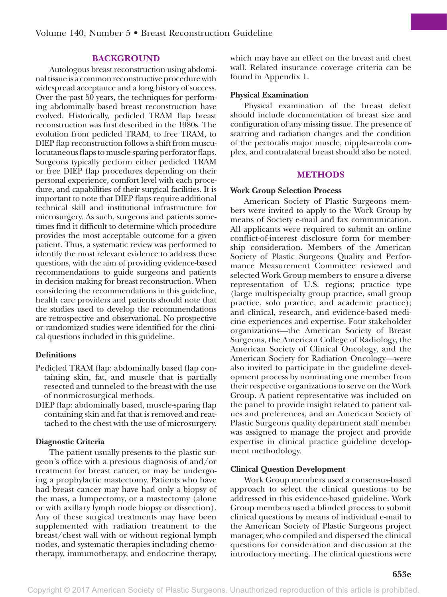#### **BACKGROUND**

Autologous breast reconstruction using abdominal tissue is a common reconstructive procedure with widespread acceptance and a long history of success. Over the past 50 years, the techniques for performing abdominally based breast reconstruction have evolved. Historically, pedicled TRAM flap breast reconstruction was first described in the 1980s. The evolution from pedicled TRAM, to free TRAM, to DIEP flap reconstruction follows a shift from musculocutaneous flaps to muscle-sparing perforator flaps. Surgeons typically perform either pedicled TRAM or free DIEP flap procedures depending on their personal experience, comfort level with each procedure, and capabilities of their surgical facilities. It is important to note that DIEP flaps require additional technical skill and institutional infrastructure for microsurgery. As such, surgeons and patients sometimes find it difficult to determine which procedure provides the most acceptable outcome for a given patient. Thus, a systematic review was performed to identify the most relevant evidence to address these questions, with the aim of providing evidence-based recommendations to guide surgeons and patients in decision making for breast reconstruction. When considering the recommendations in this guideline, health care providers and patients should note that the studies used to develop the recommendations are retrospective and observational. No prospective or randomized studies were identified for the clinical questions included in this guideline.

# **Definitions**

- Pedicled TRAM flap: abdominally based flap containing skin, fat, and muscle that is partially resected and tunneled to the breast with the use of nonmicrosurgical methods.
- DIEP flap: abdominally based, muscle-sparing flap containing skin and fat that is removed and reattached to the chest with the use of microsurgery.

#### **Diagnostic Criteria**

The patient usually presents to the plastic surgeon's office with a previous diagnosis of and/or treatment for breast cancer, or may be undergoing a prophylactic mastectomy. Patients who have had breast cancer may have had only a biopsy of the mass, a lumpectomy, or a mastectomy (alone or with axillary lymph node biopsy or dissection). Any of these surgical treatments may have been supplemented with radiation treatment to the breast/chest wall with or without regional lymph nodes, and systematic therapies including chemotherapy, immunotherapy, and endocrine therapy, which may have an effect on the breast and chest wall. Related insurance coverage criteria can be found in Appendix 1.

#### **Physical Examination**

Physical examination of the breast defect should include documentation of breast size and configuration of any missing tissue. The presence of scarring and radiation changes and the condition of the pectoralis major muscle, nipple-areola complex, and contralateral breast should also be noted.

#### **METHODS**

#### **Work Group Selection Process**

American Society of Plastic Surgeons members were invited to apply to the Work Group by means of Society e-mail and fax communication. All applicants were required to submit an online conflict-of-interest disclosure form for membership consideration. Members of the American Society of Plastic Surgeons Quality and Performance Measurement Committee reviewed and selected Work Group members to ensure a diverse representation of U.S. regions; practice type (large multispecialty group practice, small group practice, solo practice, and academic practice); and clinical, research, and evidence-based medicine experiences and expertise. Four stakeholder organizations—the American Society of Breast Surgeons, the American College of Radiology, the American Society of Clinical Oncology, and the American Society for Radiation Oncology—were also invited to participate in the guideline development process by nominating one member from their respective organizations to serve on the Work Group. A patient representative was included on the panel to provide insight related to patient values and preferences, and an American Society of Plastic Surgeons quality department staff member was assigned to manage the project and provide expertise in clinical practice guideline development methodology.

#### **Clinical Question Development**

Work Group members used a consensus-based approach to select the clinical questions to be addressed in this evidence-based guideline. Work Group members used a blinded process to submit clinical questions by means of individual e-mail to the American Society of Plastic Surgeons project manager, who compiled and dispersed the clinical questions for consideration and discussion at the introductory meeting. The clinical questions were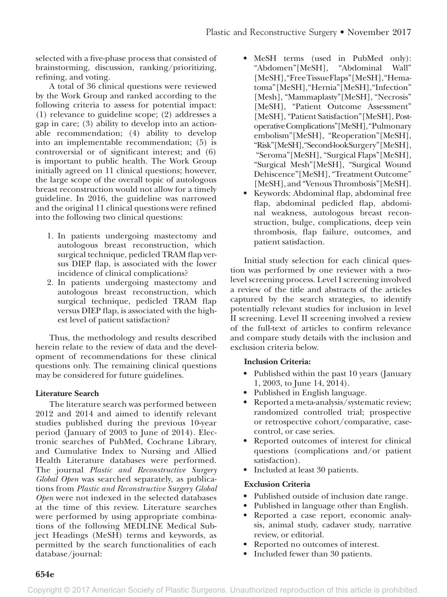selected with a five-phase process that consisted of brainstorming, discussion, ranking/prioritizing, refining, and voting.

A total of 36 clinical questions were reviewed by the Work Group and ranked according to the following criteria to assess for potential impact: (1) relevance to guideline scope; (2) addresses a gap in care; (3) ability to develop into an actionable recommendation; (4) ability to develop into an implementable recommendation; (5) is controversial or of significant interest; and (6) is important to public health. The Work Group initially agreed on 11 clinical questions; however, the large scope of the overall topic of autologous breast reconstruction would not allow for a timely guideline. In 2016, the guideline was narrowed and the original 11 clinical questions were refined into the following two clinical questions:

- 1. In patients undergoing mastectomy and autologous breast reconstruction, which surgical technique, pedicled TRAM flap versus DIEP flap, is associated with the lower incidence of clinical complications?
- 2. In patients undergoing mastectomy and autologous breast reconstruction, which surgical technique, pedicled TRAM flap versus DIEP flap, is associated with the highest level of patient satisfaction?

Thus, the methodology and results described herein relate to the review of data and the development of recommendations for these clinical questions only. The remaining clinical questions may be considered for future guidelines.

# **Literature Search**

The literature search was performed between 2012 and 2014 and aimed to identify relevant studies published during the previous 10-year period (January of 2003 to June of 2014). Electronic searches of PubMed, Cochrane Library, and Cumulative Index to Nursing and Allied Health Literature databases were performed. The journal *Plastic and Reconstructive Surgery Global Open* was searched separately, as publications from *Plastic and Reconstructive Surgery Global Open* were not indexed in the selected databases at the time of this review. Literature searches were performed by using appropriate combinations of the following MEDLINE Medical Subject Headings (MeSH) terms and keywords, as permitted by the search functionalities of each database/journal:

- MeSH terms (used in PubMed only): "Abdomen"[MeSH], "Abdominal Wall" [MeSH], "Free Tissue Flaps"[MeSH], "Hematoma" [MeSH], "Hernia"[MeSH], "Infection" [Mesh], "Mammaplasty"[MeSH], "Necrosis" [MeSH], "Patient Outcome Assessment" [MeSH], "Patient Satisfaction"[MeSH], Postoperative Complications"[MeSH], "Pulmonary embolism"[MeSH], "Reoperation"[MeSH], "Risk"[MeSH], "Second-look Surgery"[MeSH], "Seroma"[MeSH], "Surgical Flaps"[MeSH], "Surgical Mesh"[MeSH], "Surgical Wound Dehiscence"[MeSH], "Treatment Outcome" [MeSH], and "Venous Thrombosis"[MeSH].
- Keywords: Abdominal flap, abdominal free flap, abdominal pedicled flap, abdominal weakness, autologous breast reconstruction, bulge, complications, deep vein thrombosis, flap failure, outcomes, and patient satisfaction.

Initial study selection for each clinical question was performed by one reviewer with a twolevel screening process. Level I screening involved a review of the title and abstracts of the articles captured by the search strategies, to identify potentially relevant studies for inclusion in level II screening. Level II screening involved a review of the full-text of articles to confirm relevance and compare study details with the inclusion and exclusion criteria below.

# **Inclusion Criteria:**

- Published within the past 10 years (January 1, 2003, to June 14, 2014).
- Published in English language.
- Reported a meta-analysis/systematic review; randomized controlled trial; prospective or retrospective cohort/comparative, casecontrol, or case series.
- Reported outcomes of interest for clinical questions (complications and/or patient satisfaction).
- Included at least 30 patients.

# **Exclusion Criteria**

- Published outside of inclusion date range.
- Published in language other than English.
- Reported a case report, economic analysis, animal study, cadaver study, narrative review, or editorial.
- Reported no outcomes of interest.
- Included fewer than 30 patients.

# **654e**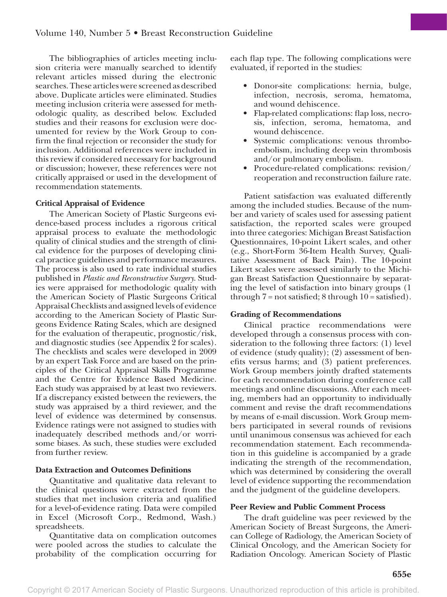The bibliographies of articles meeting inclusion criteria were manually searched to identify relevant articles missed during the electronic searches. These articles were screened as described above. Duplicate articles were eliminated. Studies meeting inclusion criteria were assessed for methodologic quality, as described below. Excluded studies and their reasons for exclusion were documented for review by the Work Group to confirm the final rejection or reconsider the study for inclusion. Additional references were included in this review if considered necessary for background or discussion; however, these references were not critically appraised or used in the development of recommendation statements.

#### **Critical Appraisal of Evidence**

The American Society of Plastic Surgeons evidence-based process includes a rigorous critical appraisal process to evaluate the methodologic quality of clinical studies and the strength of clinical evidence for the purposes of developing clinical practice guidelines and performance measures. The process is also used to rate individual studies published in *Plastic and Reconstructive Surgery*. Studies were appraised for methodologic quality with the American Society of Plastic Surgeons Critical Appraisal Checklists and assigned levels of evidence according to the American Society of Plastic Surgeons Evidence Rating Scales, which are designed for the evaluation of therapeutic, prognostic/risk, and diagnostic studies (see Appendix 2 for scales). The checklists and scales were developed in 2009 by an expert Task Force and are based on the principles of the Critical Appraisal Skills Programme and the Centre for Evidence Based Medicine. Each study was appraised by at least two reviewers. If a discrepancy existed between the reviewers, the study was appraised by a third reviewer, and the level of evidence was determined by consensus. Evidence ratings were not assigned to studies with inadequately described methods and/or worrisome biases. As such, these studies were excluded from further review.

#### **Data Extraction and Outcomes Definitions**

Quantitative and qualitative data relevant to the clinical questions were extracted from the studies that met inclusion criteria and qualified for a level-of-evidence rating. Data were compiled in Excel (Microsoft Corp., Redmond, Wash.) spreadsheets.

Quantitative data on complication outcomes were pooled across the studies to calculate the probability of the complication occurring for

each flap type. The following complications were evaluated, if reported in the studies:

- Donor-site complications: hernia, bulge, infection, necrosis, seroma, hematoma, and wound dehiscence.
- Flap-related complications: flap loss, necrosis, infection, seroma, hematoma, and wound dehiscence.
- Systemic complications: venous thromboembolism, including deep vein thrombosis and/or pulmonary embolism.
- Procedure-related complications: revision/ reoperation and reconstruction failure rate.

Patient satisfaction was evaluated differently among the included studies. Because of the number and variety of scales used for assessing patient satisfaction, the reported scales were grouped into three categories: Michigan Breast Satisfaction Questionnaires, 10-point Likert scales, and other (e.g., Short-Form 36-Item Health Survey, Qualitative Assessment of Back Pain). The 10-point Likert scales were assessed similarly to the Michigan Breast Satisfaction Questionnaire by separating the level of satisfaction into binary groups (1 through  $7 = not$  satisfied;  $8$  through  $10 =$  satisfied).

#### **Grading of Recommendations**

Clinical practice recommendations were developed through a consensus process with consideration to the following three factors: (1) level of evidence (study quality); (2) assessment of benefits versus harms; and (3) patient preferences. Work Group members jointly drafted statements for each recommendation during conference call meetings and online discussions. After each meeting, members had an opportunity to individually comment and revise the draft recommendations by means of e-mail discussion. Work Group members participated in several rounds of revisions until unanimous consensus was achieved for each recommendation statement. Each recommendation in this guideline is accompanied by a grade indicating the strength of the recommendation, which was determined by considering the overall level of evidence supporting the recommendation and the judgment of the guideline developers.

#### **Peer Review and Public Comment Process**

The draft guideline was peer reviewed by the American Society of Breast Surgeons, the American College of Radiology, the American Society of Clinical Oncology, and the American Society for Radiation Oncology. American Society of Plastic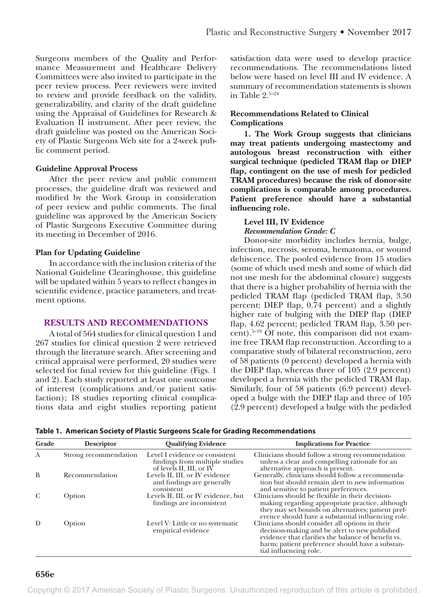Surgeons members of the Quality and Performance Measurement and Healthcare Delivery Committees were also invited to participate in the peer review process. Peer reviewers were invited to review and provide feedback on the validity, generalizability, and clarity of the draft guideline using the Appraisal of Guidelines for Research & Evaluation II instrument. After peer review, the draft guideline was posted on the American Society of Plastic Surgeons Web site for a 2-week public comment period.

#### **Guideline Approval Process**

After the peer review and public comment processes, the guideline draft was reviewed and modified by the Work Group in consideration of peer review and public comments. The final guideline was approved by the American Society of Plastic Surgeons Executive Committee during its meeting in December of 2016.

# **Plan for Updating Guideline**

In accordance with the inclusion criteria of the National Guideline Clearinghouse, this guideline will be updated within 5 years to reflect changes in scientific evidence, practice parameters, and treatment options.

# **RESULTS AND RECOMMENDATIONS**

A total of 564 studies for clinical question 1 and 267 studies for clinical question 2 were retrieved through the literature search. After screening and critical appraisal were performed, 20 studies were selected for final review for this guideline (Figs. 1 and 2). Each study reported at least one outcome of interest (complications and/or patient satisfaction); 18 studies reporting clinical complications data and eight studies reporting patient satisfaction data were used to develop practice recommendations. The recommendations listed below were based on level III and IV evidence. A summary of recommendation statements is shown in Table 2. 5–24

# **Recommendations Related to Clinical Complications**

**1. The Work Group suggests that clinicians may treat patients undergoing mastectomy and autologous breast reconstruction with either surgical technique (pedicled TRAM flap or DIEP flap, contingent on the use of mesh for pedicled TRAM procedures) because the risk of donor-site complications is comparable among procedures. Patient preference should have a substantial influencing role.**

# **Level III, IV Evidence**

#### *Recommendation Grade: C*

Donor-site morbidity includes hernia, bulge, infection, necrosis, seroma, hematoma, or wound dehiscence. The pooled evidence from 15 studies (some of which used mesh and some of which did not use mesh for the abdominal closure) suggests that there is a higher probability of hernia with the pedicled TRAM flap (pedicled TRAM flap, 3.50 percent; DIEP flap, 0.74 percent) and a slightly higher rate of bulging with the DIEP flap (DIEP flap, 4.62 percent; pedicled TRAM flap, 3.50 percent). $5-19$  Of note, this comparison did not examine free TRAM flap reconstruction. According to a comparative study of bilateral reconstruction, zero of 58 patients (0 percent) developed a hernia with the DIEP flap, whereas three of 105 (2.9 percent) developed a hernia with the pedicled TRAM flap. Similarly, four of 58 patients (6.9 percent) developed a bulge with the DIEP flap and three of 105 (2.9 percent) developed a bulge with the pedicled

**Table 1. American Society of Plastic Surgeons Scale for Grading Recommendations**

| Grade        | <b>Descriptor</b>     | <b>Oualifying Evidence</b>                                                                   | <b>Implications for Practice</b>                                                                                                                                                                                                    |
|--------------|-----------------------|----------------------------------------------------------------------------------------------|-------------------------------------------------------------------------------------------------------------------------------------------------------------------------------------------------------------------------------------|
| $\mathbf{A}$ | Strong recommendation | Level I evidence or consistent<br>findings from multiple studies<br>of levels II, III, or IV | Clinicians should follow a strong recommendation<br>unless a clear and compelling rationale for an<br>alternative approach is present.                                                                                              |
| <sup>B</sup> | Recommendation        | Levels II, III, or IV evidence<br>and findings are generally<br>consistent                   | Generally, clinicians should follow a recommenda-<br>tion but should remain alert to new information<br>and sensitive to patient preferences.                                                                                       |
|              | Option                | Levels II, III, or IV evidence, but<br>findings are inconsistent                             | Clinicians should be flexible in their decision-<br>making regarding appropriate practice, although<br>they may set bounds on alternatives; patient pref-<br>erence should have a substantial influencing role.                     |
|              | Option                | Level V: Little or no systematic<br>empirical evidence                                       | Clinicians should consider all options in their<br>decision-making and be alert to new published<br>evidence that clarifies the balance of benefit vs.<br>harm; patient preference should have a substan-<br>tial influencing role. |

# **656e**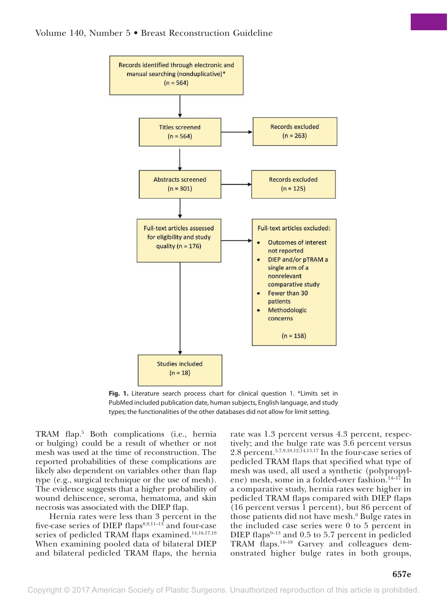

Fig. 1. Literature search process chart for clinical question 1. \*Limits set in PubMed included publication date, human subjects, English language, and study types; the functionalities of the other databases did not allow for limit setting.

TRAM flap.5 Both complications (i.e., hernia or bulging) could be a result of whether or not mesh was used at the time of reconstruction. The reported probabilities of these complications are likely also dependent on variables other than flap type (e.g., surgical technique or the use of mesh). The evidence suggests that a higher probability of wound dehiscence, seroma, hematoma, and skin necrosis was associated with the DIEP flap.

Hernia rates were less than 3 percent in the five-case series of DIEP flaps $8,9,11-13$  and four-case series of pedicled TRAM flaps examined.<sup>14,16,17,19</sup> When examining pooled data of bilateral DIEP and bilateral pedicled TRAM flaps, the hernia

rate was 1.3 percent versus 4.3 percent, respectively; and the bulge rate was 3.6 percent versus 2.8 percent.5,7,9,10,12,14,15,17 In the four-case series of pedicled TRAM flaps that specified what type of mesh was used, all used a synthetic (polypropylene) mesh, some in a folded-over fashion.14–17 In a comparative study, hernia rates were higher in pedicled TRAM flaps compared with DIEP flaps (16 percent versus 1 percent), but 86 percent of those patients did not have mesh.<sup>6</sup> Bulge rates in the included case series were 0 to 5 percent in DIEP flaps $9-13$  and 0.5 to 5.7 percent in pedicled TRAM flaps.14–18 Garvey and colleagues demonstrated higher bulge rates in both groups,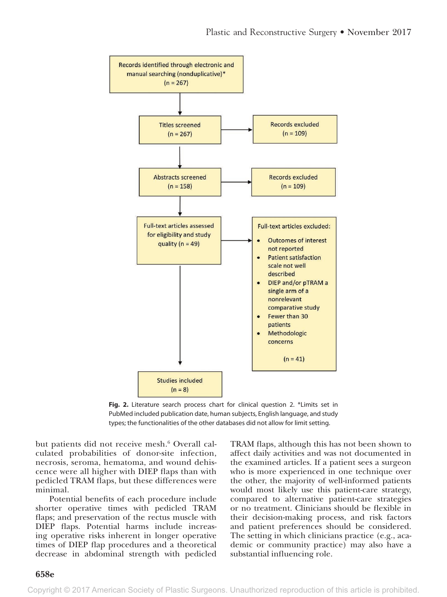

Fig. 2. Literature search process chart for clinical question 2. \*Limits set in PubMed included publication date, human subjects, English language, and study types; the functionalities of the other databases did not allow for limit setting.

but patients did not receive mesh.6 Overall calculated probabilities of donor-site infection, necrosis, seroma, hematoma, and wound dehiscence were all higher with DIEP flaps than with pedicled TRAM flaps, but these differences were minimal.

Potential benefits of each procedure include shorter operative times with pedicled TRAM flaps; and preservation of the rectus muscle with DIEP flaps. Potential harms include increasing operative risks inherent in longer operative times of DIEP flap procedures and a theoretical decrease in abdominal strength with pedicled TRAM flaps, although this has not been shown to affect daily activities and was not documented in the examined articles. If a patient sees a surgeon who is more experienced in one technique over the other, the majority of well-informed patients would most likely use this patient-care strategy, compared to alternative patient-care strategies or no treatment. Clinicians should be flexible in their decision-making process, and risk factors and patient preferences should be considered. The setting in which clinicians practice (e.g., academic or community practice) may also have a substantial influencing role.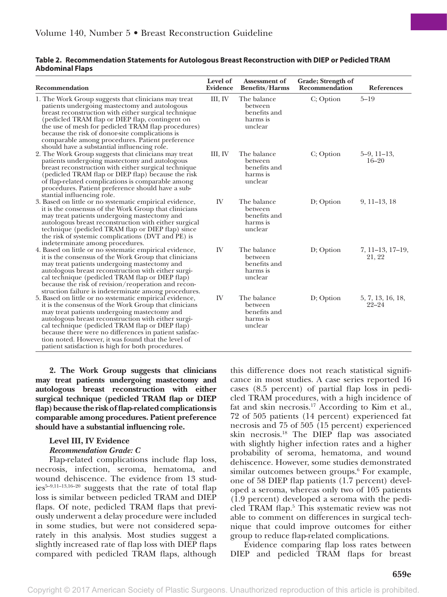| Recommendation                                                                                                                                                                                                                                                                                                                                                                                                                                   | Level of<br>Evidence | Assessment of<br><b>Benefits/Harms</b>                        | Grade; Strength of<br>Recommendation | References                     |
|--------------------------------------------------------------------------------------------------------------------------------------------------------------------------------------------------------------------------------------------------------------------------------------------------------------------------------------------------------------------------------------------------------------------------------------------------|----------------------|---------------------------------------------------------------|--------------------------------------|--------------------------------|
| 1. The Work Group suggests that clinicians may treat<br>patients undergoing mastectomy and autologous<br>breast reconstruction with either surgical technique<br>(pedicled TRAM flap or DIEP flap, contingent on<br>the use of mesh for pedicled TRAM flap procedures)<br>because the risk of donor-site complications is<br>comparable among procedures. Patient preference<br>should have a substantial influencing role.                      | III, IV              | The balance<br>between<br>benefits and<br>harms is<br>unclear | C; Option                            | $5 - 19$                       |
| 2. The Work Group suggests that clinicians may treat<br>patients undergoing mastectomy and autologous<br>breast reconstruction with either surgical technique<br>(pedicled TRAM flap or DIEP flap) because the risk<br>of flap-related complications is comparable among<br>procedures. Patient preference should have a sub-<br>stantial influencing role.                                                                                      | III, IV              | The balance<br>between<br>benefits and<br>harms is<br>unclear | C; Option                            | $5-9, 11-13,$<br>$16 - 20$     |
| 3. Based on little or no systematic empirical evidence,<br>it is the consensus of the Work Group that clinicians<br>may treat patients undergoing mastectomy and<br>autologous breast reconstruction with either surgical<br>technique (pedicled TRAM flap or DIEP flap) since<br>the risk of systemic complications (DVT and PE) is<br>indeterminate among procedures.                                                                          | IV                   | The balance<br>between<br>benefits and<br>harms is<br>unclear | D; Option                            | $9, 11-13, 18$                 |
| 4. Based on little or no systematic empirical evidence,<br>it is the consensus of the Work Group that clinicians<br>may treat patients undergoing mastectomy and<br>autologous breast reconstruction with either surgi-<br>cal technique (pedicled TRAM flap or DIEP flap)<br>because the risk of revision/reoperation and recon-<br>struction failure is indeterminate among procedures.                                                        | IV                   | The balance<br>between<br>benefits and<br>harms is<br>unclear | D; Option                            | $7, 11-13, 17-19,$<br>21, 22   |
| 5. Based on little or no systematic empirical evidence,<br>it is the consensus of the Work Group that clinicians<br>may treat patients undergoing mastectomy and<br>autologous breast reconstruction with either surgi-<br>cal technique (pedicled TRAM flap or DIEP flap)<br>because there were no differences in patient satisfac-<br>tion noted. However, it was found that the level of<br>patient satisfaction is high for both procedures. | IV                   | The balance<br>between<br>benefits and<br>harms is<br>unclear | D; Option                            | 5, 7, 13, 16, 18,<br>$22 - 24$ |

#### **Table 2. Recommendation Statements for Autologous Breast Reconstruction with DIEP or Pedicled TRAM Abdominal Flaps**

**2. The Work Group suggests that clinicians may treat patients undergoing mastectomy and autologous breast reconstruction with either surgical technique (pedicled TRAM flap or DIEP flap) because the risk of flap-related complications is comparable among procedures. Patient preference should have a substantial influencing role.**

# **Level III, IV Evidence** *Recommendation Grade: C*

Flap-related complications include flap loss, necrosis, infection, seroma, hematoma, and wound dehiscence. The evidence from 13 studies<sup>5-9,11-13,16-20</sup> suggests that the rate of total flap loss is similar between pedicled TRAM and DIEP flaps. Of note, pedicled TRAM flaps that previously underwent a delay procedure were included in some studies, but were not considered separately in this analysis. Most studies suggest a slightly increased rate of flap loss with DIEP flaps compared with pedicled TRAM flaps, although

this difference does not reach statistical significance in most studies. A case series reported 16 cases (8.5 percent) of partial flap loss in pedicled TRAM procedures, with a high incidence of fat and skin necrosis.17 According to Kim et al., 72 of 505 patients (14 percent) experienced fat necrosis and 75 of 505 (15 percent) experienced skin necrosis.18 The DIEP flap was associated with slightly higher infection rates and a higher probability of seroma, hematoma, and wound dehiscence. However, some studies demonstrated similar outcomes between groups.<sup>6</sup> For example, one of 58 DIEP flap patients (1.7 percent) developed a seroma, whereas only two of 105 patients (1.9 percent) developed a seroma with the pedicled TRAM flap.<sup>5</sup> This systematic review was not able to comment on differences in surgical technique that could improve outcomes for either group to reduce flap-related complications.

Evidence comparing flap loss rates between DIEP and pedicled TRAM flaps for breast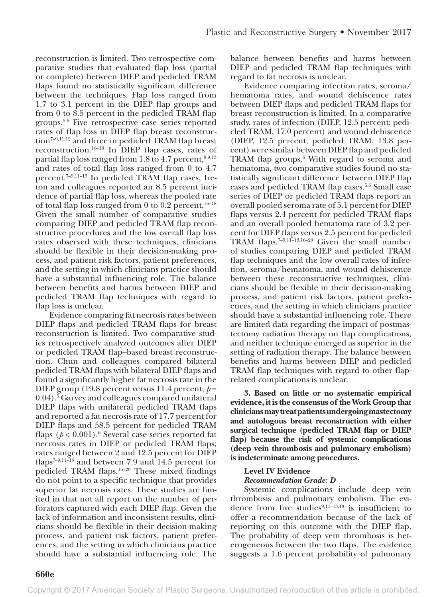reconstruction is limited. Two retrospective comparative studies that evaluated flap loss (partial or complete) between DIEP and pedicled TRAM flaps found no statistically significant difference between the techniques. Flap loss ranged from 1.7 to 3.1 percent in the DIEP flap groups and from 0 to 8.5 percent in the pedicled TRAM flap groups.5,6 Five retrospective case series reported rates of flap loss in DIEP flap breast reconstruction7–9,11,12 and three in pedicled TRAM flap breast reconstruction.16–18 In DIEP flap cases, rates of partial flap loss ranged from  $1.8$  to  $4.7$  percent,  $8,9,13$ and rates of total flap loss ranged from 0 to 4.7 percent.7–9,11–13 In pedicled TRAM flap cases, Ireton and colleagues reported an 8.5 percent incidence of partial flap loss, whereas the pooled rate of total flap loss ranged from 0 to 0.2 percent.<sup>16–18</sup> Given the small number of comparative studies comparing DIEP and pedicled TRAM flap reconstructive procedures and the low overall flap loss rates observed with these techniques, clinicians should be flexible in their decision-making process, and patient risk factors, patient preferences, and the setting in which clinicians practice should have a substantial influencing role. The balance between benefits and harms between DIEP and pedicled TRAM flap techniques with regard to flap loss is unclear.

Evidence comparing fat necrosis rates between DIEP flaps and pedicled TRAM flaps for breast reconstruction is limited. Two comparative studies retrospectively analyzed outcomes after DIEP or pedicled TRAM flap–based breast reconstruction. Chun and colleagues compared bilateral pedicled TRAM flaps with bilateral DIEP flaps and found a significantly higher fat necrosis rate in the DIEP group (19.8 percent versus 11.4 percent; *p* = 0.04).5 Garvey and colleagues compared unilateral DIEP flaps with unilateral pedicled TRAM flaps and reported a fat necrosis rate of 17.7 percent for DIEP flaps and 58.5 percent for pedicled TRAM flaps  $(p < 0.001)$ .<sup>6</sup> Several case series reported fat necrosis rates in DIEP or pedicled TRAM flaps; rates ranged between 2 and 12.5 percent for DIEP flaps<sup>7-9,11-13</sup> and between 7.9 and 14.5 percent for pedicled TRAM flaps.16–20 These mixed findings do not point to a specific technique that provides superior fat necrosis rates. These studies are limited in that not all report on the number of perforators captured with each DIEP flap. Given the lack of information and inconsistent results, clinicians should be flexible in their decision-making process, and patient risk factors, patient preferences, and the setting in which clinicians practice should have a substantial influencing role. The

balance between benefits and harms between DIEP and pedicled TRAM flap techniques with regard to fat necrosis is unclear.

Evidence comparing infection rates, seroma/ hematoma rates, and wound dehiscence rates between DIEP flaps and pedicled TRAM flaps for breast reconstruction is limited. In a comparative study, rates of infection (DIEP, 12.5 percent; pedicled TRAM, 17.0 percent) and wound dehiscence (DIEP, 12.5 percent; pedicled TRAM, 13.8 percent) were similar between DIEP flap and pedicled TRAM flap groups.<sup>6</sup> With regard to seroma and hematoma, two comparative studies found no statistically significant difference between DIEP flap cases and pedicled TRAM flap cases.5,6 Small case series of DIEP or pedicled TRAM flaps report an overall pooled seroma rate of 5.1 percent for DIEP flaps versus 2.4 percent for pedicled TRAM flaps and an overall pooled hematoma rate of 3.2 percent for DIEP flaps versus 2.5 percent for pedicled TRAM flaps.7–9,11–13,16–20 Given the small number of studies comparing DIEP and pedicled TRAM flap techniques and the low overall rates of infection, seroma/hematoma, and wound dehiscence between these reconstructive techniques, clinicians should be flexible in their decision-making process, and patient risk factors, patient preferences, and the setting in which clinicians practice should have a substantial influencing role. There are limited data regarding the impact of postmastectomy radiation therapy on flap complications, and neither technique emerged as superior in the setting of radiation therapy. The balance between benefits and harms between DIEP and pedicled TRAM flap techniques with regard to other flaprelated complications is unclear.

**3. Based on little or no systematic empirical evidence, it is the consensus of the Work Group that clinicians may treat patients undergoing mastectomy and autologous breast reconstruction with either surgical technique (pedicled TRAM flap or DIEP flap) because the risk of systemic complications (deep vein thrombosis and pulmonary embolism) is indeterminate among procedures.**

# **Level IV Evidence**

# *Recommendation Grade: D*

Systemic complications include deep vein thrombosis and pulmonary embolism. The evidence from five studies $9,11-13,18$  is insufficient to offer a recommendation because of the lack of reporting on this outcome with the DIEP flap. The probability of deep vein thrombosis is heterogeneous between the two flaps. The evidence suggests a 1.6 percent probability of pulmonary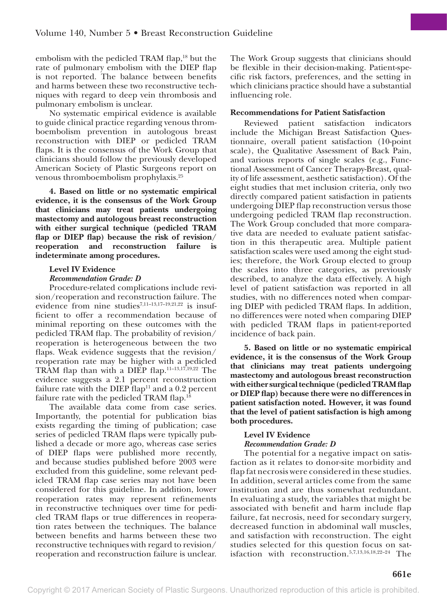embolism with the pedicled TRAM flap,<sup>18</sup> but the rate of pulmonary embolism with the DIEP flap is not reported. The balance between benefits and harms between these two reconstructive techniques with regard to deep vein thrombosis and pulmonary embolism is unclear.

No systematic empirical evidence is available to guide clinical practice regarding venous thromboembolism prevention in autologous breast reconstruction with DIEP or pedicled TRAM flaps. It is the consensus of the Work Group that clinicians should follow the previously developed American Society of Plastic Surgeons report on venous thromboembolism prophylaxis.25

**4. Based on little or no systematic empirical evidence, it is the consensus of the Work Group that clinicians may treat patients undergoing mastectomy and autologous breast reconstruction with either surgical technique (pedicled TRAM flap or DIEP flap) because the risk of revision/ reoperation and reconstruction failure is indeterminate among procedures.**

# **Level IV Evidence**

# *Recommendation Grade: D*

Procedure-related complications include revision/reoperation and reconstruction failure. The evidence from nine studies<sup>7,11-13,17-19,21,22</sup> is insufficient to offer a recommendation because of minimal reporting on these outcomes with the pedicled TRAM flap. The probability of revision/ reoperation is heterogeneous between the two flaps. Weak evidence suggests that the revision/ reoperation rate may be higher with a pedicled TRAM flap than with a DIEP flap.11–13,17,19,22 The evidence suggests a 2.1 percent reconstruction failure rate with the DIEP flap<sup>11</sup> and a 0.2 percent failure rate with the pedicled TRAM flap.<sup>18</sup>

The available data come from case series. Importantly, the potential for publication bias exists regarding the timing of publication; case series of pedicled TRAM flaps were typically published a decade or more ago, whereas case series of DIEP flaps were published more recently, and because studies published before 2003 were excluded from this guideline, some relevant pedicled TRAM flap case series may not have been considered for this guideline. In addition, lower reoperation rates may represent refinements in reconstructive techniques over time for pedicled TRAM flaps or true differences in reoperation rates between the techniques. The balance between benefits and harms between these two reconstructive techniques with regard to revision/ reoperation and reconstruction failure is unclear.

The Work Group suggests that clinicians should be flexible in their decision-making. Patient-specific risk factors, preferences, and the setting in which clinicians practice should have a substantial influencing role.

# **Recommendations for Patient Satisfaction**

Reviewed patient satisfaction indicators include the Michigan Breast Satisfaction Questionnaire, overall patient satisfaction (10-point scale), the Qualitative Assessment of Back Pain, and various reports of single scales (e.g., Functional Assessment of Cancer Therapy-Breast, quality of life assessment, aesthetic satisfaction). Of the eight studies that met inclusion criteria, only two directly compared patient satisfaction in patients undergoing DIEP flap reconstruction versus those undergoing pedicled TRAM flap reconstruction. The Work Group concluded that more comparative data are needed to evaluate patient satisfaction in this therapeutic area. Multiple patient satisfaction scales were used among the eight studies; therefore, the Work Group elected to group the scales into three categories, as previously described, to analyze the data effectively. A high level of patient satisfaction was reported in all studies, with no differences noted when comparing DIEP with pedicled TRAM flaps. In addition, no differences were noted when comparing DIEP with pedicled TRAM flaps in patient-reported incidence of back pain.

**5. Based on little or no systematic empirical evidence, it is the consensus of the Work Group that clinicians may treat patients undergoing mastectomy and autologous breast reconstruction with either surgical technique (pedicled TRAM flap or DIEP flap) because there were no differences in patient satisfaction noted. However, it was found that the level of patient satisfaction is high among both procedures.**

# **Level IV Evidence**

# *Recommendation Grade: D*

The potential for a negative impact on satisfaction as it relates to donor-site morbidity and flap fat necrosis were considered in these studies. In addition, several articles come from the same institution and are thus somewhat redundant. In evaluating a study, the variables that might be associated with benefit and harm include flap failure, fat necrosis, need for secondary surgery, decreased function in abdominal wall muscles, and satisfaction with reconstruction. The eight studies selected for this question focus on satisfaction with reconstruction.5,7,13,16,18,22–24 The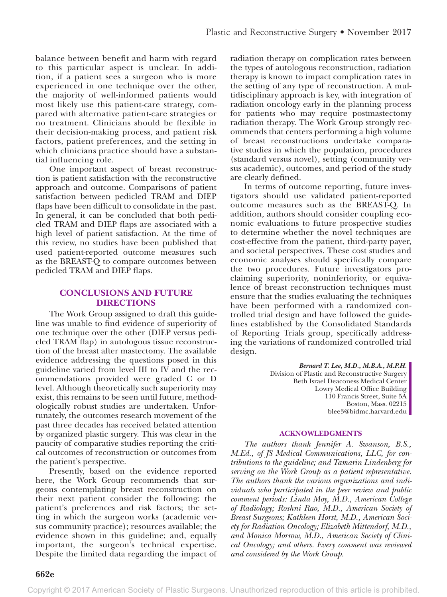balance between benefit and harm with regard to this particular aspect is unclear. In addition, if a patient sees a surgeon who is more experienced in one technique over the other, the majority of well-informed patients would most likely use this patient-care strategy, compared with alternative patient-care strategies or no treatment. Clinicians should be flexible in their decision-making process, and patient risk factors, patient preferences, and the setting in which clinicians practice should have a substantial influencing role.

One important aspect of breast reconstruction is patient satisfaction with the reconstructive approach and outcome. Comparisons of patient satisfaction between pedicled TRAM and DIEP flaps have been difficult to consolidate in the past. In general, it can be concluded that both pedicled TRAM and DIEP flaps are associated with a high level of patient satisfaction. At the time of this review, no studies have been published that used patient-reported outcome measures such as the BREAST-Q to compare outcomes between pedicled TRAM and DIEP flaps.

# **CONCLUSIONS AND FUTURE DIRECTIONS**

The Work Group assigned to draft this guideline was unable to find evidence of superiority of one technique over the other (DIEP versus pedicled TRAM flap) in autologous tissue reconstruction of the breast after mastectomy. The available evidence addressing the questions posed in this guideline varied from level III to IV and the recommendations provided were graded C or D level. Although theoretically such superiority may exist, this remains to be seen until future, methodologically robust studies are undertaken. Unfortunately, the outcomes research movement of the past three decades has received belated attention by organized plastic surgery. This was clear in the paucity of comparative studies reporting the critical outcomes of reconstruction or outcomes from the patient's perspective.

Presently, based on the evidence reported here, the Work Group recommends that surgeons contemplating breast reconstruction on their next patient consider the following: the patient's preferences and risk factors; the setting in which the surgeon works (academic versus community practice); resources available; the evidence shown in this guideline; and, equally important, the surgeon's technical expertise. Despite the limited data regarding the impact of radiation therapy on complication rates between the types of autologous reconstruction, radiation therapy is known to impact complication rates in the setting of any type of reconstruction. A multidisciplinary approach is key, with integration of radiation oncology early in the planning process for patients who may require postmastectomy radiation therapy. The Work Group strongly recommends that centers performing a high volume of breast reconstructions undertake comparative studies in which the population, procedures (standard versus novel), setting (community versus academic), outcomes, and period of the study are clearly defined.

In terms of outcome reporting, future investigators should use validated patient-reported outcome measures such as the BREAST-Q. In addition, authors should consider coupling economic evaluations to future prospective studies to determine whether the novel techniques are cost-effective from the patient, third-party payer, and societal perspectives. These cost studies and economic analyses should specifically compare the two procedures. Future investigators proclaiming superiority, noninferiority, or equivalence of breast reconstruction techniques must ensure that the studies evaluating the techniques have been performed with a randomized controlled trial design and have followed the guidelines established by the Consolidated Standards of Reporting Trials group, specifically addressing the variations of randomized controlled trial design.

> *Bernard T. Lee, M.D., M.B.A., M.P.H.* Division of Plastic and Reconstructive Surgery Beth Israel Deaconess Medical Center Lowry Medical Office Building 110 Francis Street, Suite 5A Boston, Mass. 02215 [blee3@bidmc.harvard.edu](mailto:blee3@bidmc.harvard.edu)

#### **ACKNOWLEDGMENTS**

*The authors thank Jennifer A. Swanson, B.S., M.Ed., of JS Medical Communications, LLC, for contributions to the guideline; and Tamarin Lindenberg for serving on the Work Group as a patient representative. The authors thank the various organizations and individuals who participated in the peer review and public comment periods: Linda Moy, M.D., American College of Radiology; Roshni Rao, M.D., American Society of Breast Surgeons; Kathleen Horst, M.D., American Society for Radiation Oncology; Elizabeth Mittendorf, M.D., and Monica Morrow, M.D., American Society of Clinical Oncology; and others. Every comment was reviewed and considered by the Work Group.*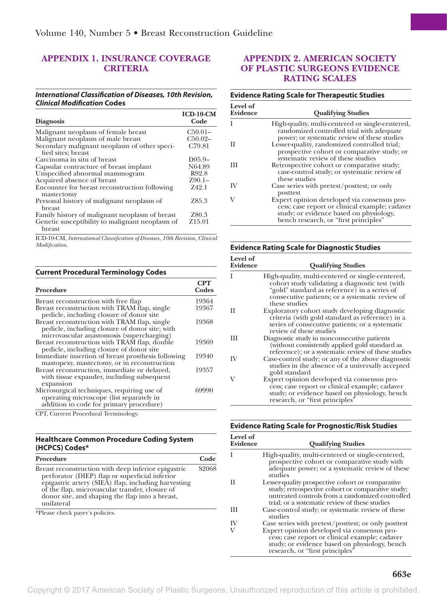# **APPENDIX 1. INSURANCE COVERAGE CRITERIA**

#### *International Classification of Diseases, 10th Revision, Clinical Modification* **Codes**

| <b>Diagnosis</b>                                                   | $ICD-10-CM$<br>Code |
|--------------------------------------------------------------------|---------------------|
| Malignant neoplasm of female breast                                | $C50.01-$           |
| Malignant neoplasm of male breast                                  | $C50.02-$           |
| Secondary malignant neoplasm of other speci-<br>fied sites; breast | C79.81              |
| Carcinoma in situ of breast                                        | $D05.9-$            |
| Capsular contracture of breast implant                             | N64.89              |
| Unspecified abnormal mammogram                                     | R92.8               |
| Acquired absence of breast                                         | $Z90.1-$            |
| Encounter for breast reconstruction following<br>mastectomy        | 7.42.1              |
| Personal history of malignant neoplasm of<br>breast                | Z85.3               |
| Family history of malignant neoplasm of breast                     | Z80.3               |
| Genetic susceptibility to malignant neoplasm of<br>breast          | Z <sub>15.01</sub>  |

ICD-10-CM, *International Classification of Diseases, 10th Revision, Clinical Modification*.

#### **Current Procedural Terminology Codes**

| Procedure                                                                                                                                   | <b>CPT</b><br>Codes |
|---------------------------------------------------------------------------------------------------------------------------------------------|---------------------|
| Breast reconstruction with free flap                                                                                                        | 19364               |
| Breast reconstruction with TRAM flap, single<br>pedicle, including closure of donor site                                                    | 19367               |
| Breast reconstruction with TRAM flap, single<br>pedicle, including closure of donor site; with<br>microvascular anastomosis (supercharging) | 19368               |
| Breast reconstruction with TRAM flap, double<br>pedicle, including closure of donor site                                                    | 19369               |
| Immediate insertion of breast prosthesis following<br>mastopexy, mastectomy, or in reconstruction                                           | 19340               |
| Breast reconstruction, immediate or delayed,<br>with tissue expander, including subsequent<br>expansion                                     | 19357               |
| Microsurgical techniques, requiring use of<br>operating microscope (list separately in<br>addition to code for primary procedure)           | 69990               |

CPT, Current Procedural Terminology.

#### **Healthcare Common Procedure Coding System (HCPCS) Codes\***

| Procedure                                                                                                                                                                                                                                                                        | Code              |
|----------------------------------------------------------------------------------------------------------------------------------------------------------------------------------------------------------------------------------------------------------------------------------|-------------------|
| Breast reconstruction with deep inferior epigastric<br>perforator (DIEP) flap or superficial inferior<br>epigastric artery (SIEA) flap, including harvesting<br>of the flap, microvascular transfer, closure of<br>donor site, and shaping the flap into a breast,<br>unilateral | S <sub>2068</sub> |

\*Please check payer's policies.

# **APPENDIX 2. AMERICAN SOCIETY OF PLASTIC SURGEONS EVIDENCE RATING SCALES**

#### **Evidence Rating Scale for Therapeutic Studies Level of Evidence Qualifying Studies** I High-quality, multi-centered or single-centered, randomized controlled trial with adequate power; or systematic review of these studies II Lesser-quality, randomized controlled trial; prospective cohort or comparative study; or systematic review of these studies III Retrospective cohort or comparative study; case-control study; or systematic review of these studies IV Case series with pretest/posttest; or only posttest V Expert opinion developed via consensus process; case report or clinical example; cadaver study; or evidence based on physiology, bench research, or "first principles"

#### **Evidence Rating Scale for Diagnostic Studies**

| Level of<br><b>Evidence</b> | <b>Qualifying Studies</b>                                                                                                                                                                                               |
|-----------------------------|-------------------------------------------------------------------------------------------------------------------------------------------------------------------------------------------------------------------------|
|                             | High-quality, multi-centered or single-centered,<br>cohort study validating a diagnostic test (with<br>"gold" standard as reference) in a series of<br>consecutive patients; or a systematic review of<br>these studies |
| П                           | Exploratory cohort study developing diagnostic<br>criteria (with gold standard as reference) in a<br>series of consecutive patients; or a systematic<br>review of these studies                                         |
| Ш                           | Diagnostic study in nonconsecutive patients<br>(without consistently applied gold standard as<br>reference); or a systematic review of these studies                                                                    |
| IV                          | Case-control study; or any of the above diagnostic<br>studies in the absence of a universally accepted<br>gold standard                                                                                                 |
| V                           | Expert opinion developed via consensus pro-<br>cess; case report or clinical example; cadaver<br>study; or evidence based on physiology, bench<br>research, or "first principles"                                       |

#### **Evidence Rating Scale for Prognostic/Risk Studies**

| Level of<br><b>Evidence</b> | <b>Qualifying Studies</b>                                                                                                                                                                                  |
|-----------------------------|------------------------------------------------------------------------------------------------------------------------------------------------------------------------------------------------------------|
|                             | High-quality, multi-centered or single-centered,<br>prospective cohort or comparative study with<br>adequate power; or a systematic review of these<br>studies                                             |
| Н                           | Lesser-quality prospective cohort or comparative<br>study; retrospective cohort or comparative study;<br>untreated controls from a randomized controlled<br>trial; or a systematic review of these studies |
| Ш                           | Case-control study; or systematic review of these<br>studies                                                                                                                                               |
| IV                          | Case series with pretest/posttest; or only posttest                                                                                                                                                        |
| V                           | Expert opinion developed via consensus pro-<br>cess; case report or clinical example; cadaver<br>study; or evidence based on physiology, bench<br>research, or "first principles"                          |